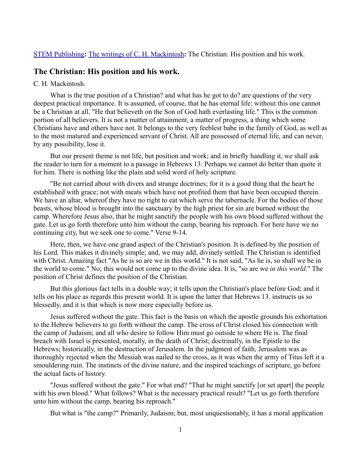## [STEM Publishing](http://www.stempublishing.com/)**:** [The writings of C. H. Mackintosh](http://www.stempublishing.com/authors/mackintosh/index.html)**:** The Christian: His position and his work.

# **The Christian: His position and his work.**

### C. H. Mackintosh.

What is the true position of a Christian? and what has he got to do? are questions of the very deepest practical importance. It is assumed, of course, that he has eternal life: without this one cannot be a Christian at all. "He that believeth on the Son of God hath everlasting life." This is the common portion of all believers. It is not a matter of attainment, a matter of progress, a thing which some Christians have and others have not. It belongs to the very feeblest babe in the family of God, as well as to the most matured and experienced servant of Christ. All are possessed of eternal life, and can never, by any possibility, lose it.

But our present theme is not life, but position and work; and in briefly handling it, we shall ask the reader to turn for a moment to a passage in Hebrews 13. Perhaps we cannot do better than quote it for him. There is nothing like the plain and solid word of holy scripture.

"Be not carried about with divers and strange doctrines; for it is a good thing that the heart be established with grace; not with meats which have not profited them that have been occupied therein. We have an altar, whereof they have no right to eat which serve the tabernacle. For the bodies of those beasts, whose blood is brought into the sanctuary by the high priest for sin are burned without the camp. Wherefore Jesus also, that he might sanctify the people with his own blood suffered without the gate. Let us go forth therefore unto him without the camp, bearing his reproach. For here have we no continuing city, but we seek one to come." Verse 9-14.

Here, then, we have one grand aspect of the Christian's position. It is defined by the position of his Lord. This makes it divinely simple; and, we may add, divinely settled. The Christian is identified with Christ. Amazing fact "As he is so are we in this world." It is not said, "As he is, so shall we be in the world to come." No; this would not come up to the divine idea. It is, "so are we *in this world*." The position of Christ defines the position of the Christian.

But this glorious fact tells in a double way; it tells upon the Christian's place before God; and it tells on his place as regards this present world. It is upon the latter that Hebrews 13. instructs us so blessedly, and it is that which is now more especially before us.

Jesus suffered without the gate. This fact is the basis on which the apostle grounds his exhortation to the Hebrew believers to go forth without the camp. The cross of Christ closed his connection with the camp of Judaism; and all who desire to follow Him must go outside to where He is. The final breach with Israel is presented, morally, in the death of Christ; doctrinally, in the Epistle to the Hebrews; historically, in the destruction of Jerusalem. In the judgment of faith, Jerusalem was as thoroughly rejected when the Messiah was nailed to the cross, as it was when the army of Titus left it a smouldering ruin. The instincts of the divine nature, and the inspired teachings of scripture, go before the actual facts of history.

"Jesus suffered without the gate." For what end? "That he might sanctify [or set apart] the people with his own blood." What follows? What is the necessary practical result? "Let us go forth therefore unto him without the camp, bearing his reproach."

But what is "the camp?" Primarily, Judaism; but, most unquestionably, it has a moral application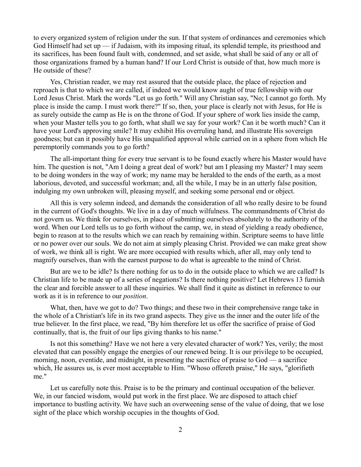to every organized system of religion under the sun. If that system of ordinances and ceremonies which God Himself had set up — if Judaism, with its imposing ritual, its splendid temple, its priesthood and its sacrifices, has been found fault with, condemned, and set aside, what shall be said of any or all of those organizations framed by a human hand? If our Lord Christ is outside of that, how much more is He outside of these?

Yes, Christian reader, we may rest assured that the outside place, the place of rejection and reproach is that to which we are called, if indeed we would know aught of true fellowship with our Lord Jesus Christ. Mark the words "Let us go forth." Will any Christian say, "No; I cannot go forth. My place is inside the camp. I must work there?" If so, then, your place is clearly not with Jesus, for He is as surely outside the camp as He is on the throne of God. If your sphere of work lies inside the camp, when your Master tells you to go forth, what shall we say for your work? Can it be worth much? Can it have your Lord's approving smile? It may exhibit His overruling hand, and illustrate His sovereign goodness; but can it possibly have His unqualified approval while carried on in a sphere from which He peremptorily commands you to go forth?

The all-important thing for every true servant is to be found exactly where his Master would have him. The question is not, "Am I doing a great deal of work? but am I pleasing my Master? I may seem to be doing wonders in the way of work; my name may be heralded to the ends of the earth, as a most laborious, devoted, and successful workman; and, all the while, I may be in an utterly false position, indulging my own unbroken will, pleasing myself, and seeking some personal end or object.

All this is very solemn indeed, and demands the consideration of all who really desire to be found in the current of God's thoughts. We live in a day of much wilfulness. The commandments of Christ do not govern us. We think for ourselves, in place of submitting ourselves absolutely to the authority of the word. When our Lord tells us to go forth without the camp, we, in stead of yielding a ready obedience, begin to reason at to the results which we can reach by remaining within. Scripture seems to have little or no power over our souls. We do not aim at simply pleasing Christ. Provided we can make great show of work, we think all is right. We are more occupied with results which, after all, may only tend to magnify ourselves, than with the earnest purpose to do what is agreeable to the mind of Christ.

But are we to be idle? Is there nothing for us to do in the outside place to which we are called? Is Christian life to be made up of a series of negations? Is there nothing positive? Let Hebrews 13 furnish the clear and forcible answer to all these inquiries. We shall find it quite as distinct in reference to our work as it is in reference to our *position*.

What, then, have we got to do? Two things; and these two in their comprehensive range take in the whole of a Christian's life in its two grand aspects. They give us the inner and the outer life of the true believer. In the first place, we read, "By him therefore let us offer the sacrifice of praise of God continually, that is, the fruit of our lips giving thanks to his name."

Is not this something? Have we not here a very elevated character of work? Yes, verily; the most elevated that can possibly engage the energies of our renewed being. It is our privilege to be occupied, morning, noon, eventide, and midnight, in presenting the sacrifice of praise to God — a sacrifice which, He assures us, is ever most acceptable to Him. "Whoso offereth praise," He says, "glorifieth me."

Let us carefully note this. Praise is to be the primary and continual occupation of the believer. We, in our fancied wisdom, would put work in the first place. We are disposed to attach chief importance to bustling activity. We have such an overweening sense of the value of doing, that we lose sight of the place which worship occupies in the thoughts of God.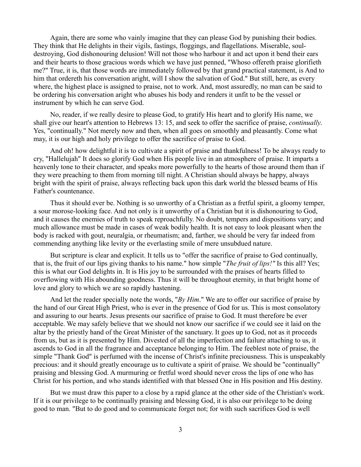Again, there are some who vainly imagine that they can please God by punishing their bodies. They think that He delights in their vigils, fastings, floggings, and flagellations. Miserable, souldestroying, God dishonouring delusion! Will not those who harbour it and act upon it bend their ears and their hearts to those gracious words which we have just penned, "Whoso offereth praise glorifieth me?" True, it is, that those words are immediately followed by that grand practical statement, is And to him that ordereth his conversation aright, will I show the salvation of God." But still, here, as every where, the highest place is assigned to praise, not to work. And, most assuredly, no man can be said to be ordering his conversation aright who abuses his body and renders it unfit to be the vessel or instrument by which he can serve God.

No, reader, if we really desire to please God, to gratify His heart and to glorify His name, we shall give our heart's attention to Hebrews 13: 15, and seek to offer the sacrifice of praise, *continually*. Yes, "continually." Not merely now and then, when all goes on smoothly and pleasantly. Come what may, it is our high and holy privilege to offer the sacrifice of praise to God.

And oh! how delightful it is to cultivate a spirit of praise and thankfulness! To be always ready to cry, "Hallelujah" It does so glorify God when His people live in an atmosphere of praise. It imparts a heavenly tone to their character, and speaks more powerfully to the hearts of those around them than if they were preaching to them from morning till night. A Christian should always be happy, always bright with the spirit of praise, always reflecting back upon this dark world the blessed beams of His Father's countenance.

Thus it should ever be. Nothing is so unworthy of a Christian as a fretful spirit, a gloomy temper, a sour morose-looking face. And not only is it unworthy of a Christian but it is dishonouring to God, and it causes the enemies of truth to speak reproachfully. No doubt, tempers and dispositions vary; and much allowance must be made in cases of weak bodily health. It is not easy to look pleasant when the body is racked with gout, neuralgia, or rheumatism; and, farther, we should be very far indeed from commending anything like levity or the everlasting smile of mere unsubdued nature.

But scripture is clear and explicit. It tells us to "offer the sacrifice of praise to God continually, that is, the fruit of our lips giving thanks to his name." how simple "*The fruit of lips!"* Is this all? Yes; this is what our God delights in. It is His joy to be surrounded with the praises of hearts filled to overflowing with His abounding goodness. Thus it will be throughout eternity, in that bright home of love and glory to which we are so rapidly hastening.

And let the reader specially note the words, "*By Him*." We are to offer our sacrifice of praise by the hand of our Great High Priest, who is ever in the presence of God for us. This is most consolatory and assuring to our hearts. Jesus presents our sacrifice of praise to God. It must therefore be ever acceptable. We may safely believe that we should not know our sacrifice if we could see it laid on the altar by the priestly hand of the Great Minister of the sanctuary. It goes up to God, not as it proceeds from us, but as it is presented by Him. Divested of all the imperfection and failure attaching to us, it ascends to God in all the fragrance and acceptance belonging to Him. The feeblest note of praise, the simple "Thank God" is perfumed with the incense of Christ's infinite preciousness. This is unspeakably precious: and it should greatly encourage us to cultivate a spirit of praise. We should be "continually" praising and blessing God. A murmuring or fretful word should never cross the lips of one who has Christ for his portion, and who stands identified with that blessed One in His position and His destiny.

But we must draw this paper to a close by a rapid glance at the other side of the Christian's work. If it is our privilege to be continually praising and blessing God, it is also our privilege to be doing good to man. "But to do good and to communicate forget not; for with such sacrifices God is well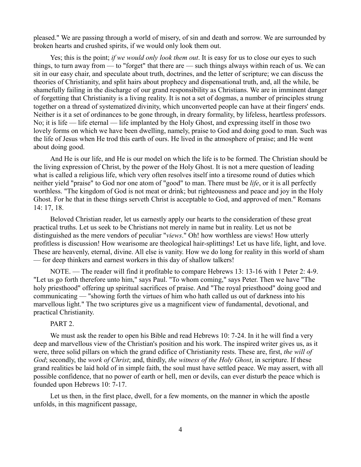pleased." We are passing through a world of misery, of sin and death and sorrow. We are surrounded by broken hearts and crushed spirits, if we would only look them out.

Yes; this is the point; *if we would only look them out*. It is easy for us to close our eyes to such things, to turn away from — to "forget" that there are — such things always within reach of us. We can sit in our easy chair, and speculate about truth, doctrines, and the letter of scripture; we can discuss the theories of Christianity, and split hairs about prophecy and dispensational truth, and, all the while, be shamefully failing in the discharge of our grand responsibility as Christians. We are in imminent danger of forgetting that Christianity is a living reality. It is not a set of dogmas, a number of principles strung together on a thread of systematized divinity, which unconverted people can have at their fingers' ends. Neither is it a set of ordinances to be gone through, in dreary formality, by lifeless, heartless professors. No; it is life — life eternal — life implanted by the Holy Ghost, and expressing itself in those two lovely forms on which we have been dwelling, namely, praise to God and doing good to man. Such was the life of Jesus when He trod this earth of ours. He lived in the atmosphere of praise; and He went about doing good.

And He is our life, and He is our model on which the life is to be formed. The Christian should be the living expression of Christ, by the power of the Holy Ghost. It is not a mere question of leading what is called a religious life, which very often resolves itself into a tiresome round of duties which neither yield "praise" to God nor one atom of "good" to man. There must be *life*, or it is all perfectly worthless. "The kingdom of God is not meat or drink; but righteousness and peace and joy in the Holy Ghost. For he that in these things serveth Christ is acceptable to God, and approved of men." Romans 14: 17, 18.

Beloved Christian reader, let us earnestly apply our hearts to the consideration of these great practical truths. Let us seek to be Christians not merely in name but in reality. Let us not be distinguished as the mere vendors of peculiar "*views*." Oh! how worthless are views! How utterly profitless is discussion! How wearisome are theological hair-splittings! Let us have life, light, and love. These are heavenly, eternal, divine. All else is vanity. How we do long for reality in this world of sham — for deep thinkers and earnest workers in this day of shallow talkers!

NOTE. — The reader will find it profitable to compare Hebrews 13: 13-16 with 1 Peter 2: 4-9. "Let us go forth therefore unto him," says Paul. "To whom coming," says Peter. Then we have "The holy priesthood" offering up spiritual sacrifices of praise. And "The royal priesthood" doing good and communicating — "showing forth the virtues of him who hath called us out of darkness into his marvellous light." The two scriptures give us a magnificent view of fundamental, devotional, and practical Christianity.

## PART 2.

We must ask the reader to open his Bible and read Hebrews 10: 7-24. In it he will find a very deep and marvellous view of the Christian's position and his work. The inspired writer gives us, as it were, three solid pillars on which the grand edifice of Christianity rests. These are, first, *the will of God*; secondly, the *work of Christ*; and, thirdly, *the witness of the Holy Ghost*, in scripture. If these grand realities be laid hold of in simple faith, the soul must have settled peace. We may assert, with all possible confidence, that no power of earth or hell, men or devils, can ever disturb the peace which is founded upon Hebrews 10: 7-17.

Let us then, in the first place, dwell, for a few moments, on the manner in which the apostle unfolds, in this magnificent passage,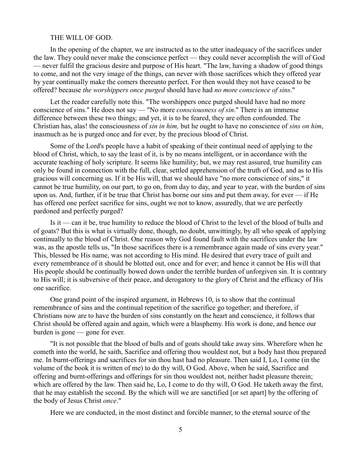#### THE WILL OF GOD.

In the opening of the chapter, we are instructed as to the utter inadequacy of the sacrifices under the law. They could never make the conscience perfect — they could never accomplish the will of God — never fulfil the gracious desire and purpose of His heart. "The law, having a shadow of good things to come, and not the very image of the things, can never with those sacrifices which they offered year by year continually make the comers thereunto perfect. For then would they not have ceased to be offered? because *the worshippers once purged* should have had *no more conscience of sins*."

Let the reader carefully note this. "The worshippers once purged should have had no more conscience of sins." He does not say — "No more *consciousness of sin*." There is an immense difference between these two things; and yet, it is to be feared, they are often confounded. The Christian has, alas! the consciousness of *sin in him,* but he ought to have no conscience of *sins on him*, inasmuch as he is purged once and for ever, by the precious blood of Christ.

Some of the Lord's people have a habit of speaking of their continual need of applying to the blood of Christ, which, to say the least of it, is by no means intelligent, or in accordance with the accurate teaching of holy scripture. It seems like humility; but, we may rest assured, true humility can only be found in connection with the full, clear, settled apprehension of the truth of God, and as to His gracious will concerning us. If it be His will, that we should have "no more conscience of sins," it cannot be true humility, on our part, to go on, from day to day, and year to year, with the burden of sins upon us. And, further, if it be true that Christ has borne our sins and put them away, for ever — if He has offered one perfect sacrifice for sins, ought we not to know, assuredly, that we are perfectly pardoned and perfectly purged?

Is it — can it be, true humility to reduce the blood of Christ to the level of the blood of bulls and of goats? But this is what is virtually done, though, no doubt, unwittingly, by all who speak of applying continually to the blood of Christ. One reason why God found fault with the sacrifices under the law was, as the apostle tells us, "In those sacrifices there is a remembrance again made of sins every year." This, blessed be His name, was not according to His mind. He desired that every trace of guilt and every remembrance of it should be blotted out, once and for ever; and hence it cannot be His will that His people should be continually bowed down under the terrible burden of unforgiven sin. It is contrary to His will; it is subversive of their peace, and derogatory to the glory of Christ and the efficacy of His one sacrifice.

One grand point of the inspired argument, in Hebrews 10, is to show that the continual remembrance of sins and the continual repetition of the sacrifice go together; and therefore, if Christians now are to have the burden of sins constantly on the heart and conscience, it follows that Christ should be offered again and again, which were a blasphemy. His work is done, and hence our burden is gone — gone for ever.

"It is not possible that the blood of bulls and of goats should take away sins. Wherefore when he cometh into the world, he saith, Sacrifice and offering thou wouldest not, but a body hast thou prepared me. In burnt-offerings and sacrifices for sin thou hast had no pleasure. Then said I, Lo, I come (in the volume of the book it is written of me) to do thy will, O God. Above, when he said, Sacrifice and offering and burnt-offerings and offerings for sin thou wouldest not, neither hadst pleasure therein; which are offered by the law. Then said he, Lo, I come to do thy will, O God. He taketh away the first, that he may establish the second. By the which will we are sanctified [or set apart] by the offering of the body of Jesus Christ *once*."

Here we are conducted, in the most distinct and forcible manner, to the eternal source of the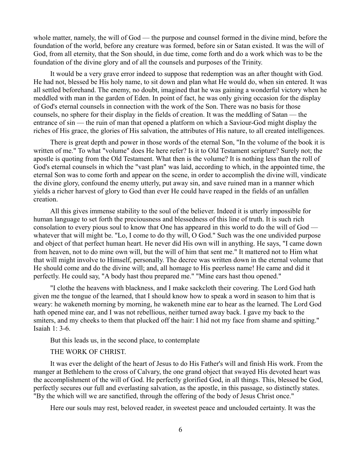whole matter, namely, the will of God — the purpose and counsel formed in the divine mind, before the foundation of the world, before any creature was formed, before sin or Satan existed. It was the will of God, from all eternity, that the Son should, in due time, come forth and do a work which was to be the foundation of the divine glory and of all the counsels and purposes of the Trinity.

It would be a very grave error indeed to suppose that redemption was an after thought with God. He had not, blessed be His holy name, to sit down and plan what He would do, when sin entered. It was all settled beforehand. The enemy, no doubt, imagined that he was gaining a wonderful victory when he meddled with man in the garden of Eden. In point of fact, he was only giving occasion for the display of God's eternal counsels in connection with the work of the Son. There was no basis for those counsels, no sphere for their display in the fields of creation. It was the meddling of Satan — the entrance of sin — the ruin of man that opened a platform on which a Saviour-God might display the riches of His grace, the glories of His salvation, the attributes of His nature, to all created intelligences.

There is great depth and power in those words of the eternal Son, "In the volume of the book it is written of me." To what "volume" does He here refer? Is it to Old Testament scripture? Surely not; the apostle is quoting from the Old Testament. What then is the volume? It is nothing less than the roll of God's eternal counsels in which the "vast plan" was laid, according to which, in the appointed time, the eternal Son was to come forth and appear on the scene, in order to accomplish the divine will, vindicate the divine glory, confound the enemy utterly, put away sin, and save ruined man in a manner which yields a richer harvest of glory to God than ever He could have reaped in the fields of an unfallen creation.

All this gives immense stability to the soul of the believer. Indeed it is utterly impossible for human language to set forth the preciousness and blessedness of this line of truth. It is such rich consolation to every pious soul to know that One has appeared in this world to do the will of God whatever that will might be. "Lo, I come to do thy will, O God." Such was the one undivided purpose and object of that perfect human heart. He never did His own will in anything. He says, "I came down from heaven, not to do mine own will, but the will of him that sent me." It mattered not to Him what that will might involve to Himself, personally. The decree was written down in the eternal volume that He should come and do the divine will; and, all homage to His peerless name! He came and did it perfectly. He could say, "A body hast thou prepared me." "Mine ears hast thou opened."

"I clothe the heavens with blackness, and I make sackcloth their covering. The Lord God hath given me the tongue of the learned, that I should know how to speak a word in season to him that is weary: he wakeneth morning by morning, he wakeneth mine ear to hear as the learned. The Lord God hath opened mine ear, and I was not rebellious, neither turned away back. I gave my back to the smiters, and my cheeks to them that plucked off the hair: I hid not my face from shame and spitting." Isaiah 1: 3-6.

But this leads us, in the second place, to contemplate

## THE WORK OF CHRIST.

It was ever the delight of the heart of Jesus to do His Father's will and finish His work. From the manger at Bethlehem to the cross of Calvary, the one grand object that swayed His devoted heart was the accomplishment of the will of God. He perfectly glorified God, in all things. This, blessed be God, perfectly secures our full and everlasting salvation, as the apostle, in this passage, so distinctly states. "By the which will we are sanctified, through the offering of the body of Jesus Christ once."

Here our souls may rest, beloved reader, in sweetest peace and unclouded certainty. It was the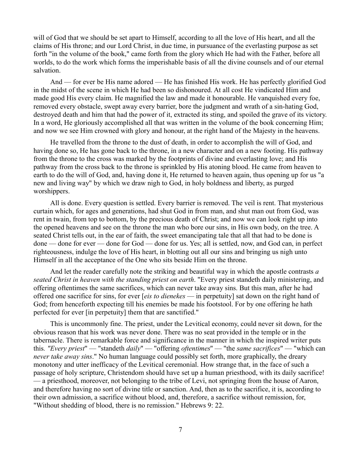will of God that we should be set apart to Himself, according to all the love of His heart, and all the claims of His throne; and our Lord Christ, in due time, in pursuance of the everlasting purpose as set forth "in the volume of the book," came forth from the glory which He had with the Father, before all worlds, to do the work which forms the imperishable basis of all the divine counsels and of our eternal salvation.

And — for ever be His name adored — He has finished His work. He has perfectly glorified God in the midst of the scene in which He had been so dishonoured. At all cost He vindicated Him and made good His every claim. He magnified the law and made it honourable. He vanquished every foe, removed every obstacle, swept away every barrier, bore the judgment and wrath of a sin-hating God, destroyed death and him that had the power of it, extracted its sting, and spoiled the grave of its victory. In a word, He gloriously accomplished all that was written in the volume of the book concerning Him; and now we see Him crowned with glory and honour, at the right hand of the Majesty in the heavens.

He travelled from the throne to the dust of death, in order to accomplish the will of God, and having done so, He has gone back to the throne, in a new character and on a new footing. His pathway from the throne to the cross was marked by the footprints of divine and everlasting love; and His pathway from the cross back to the throne is sprinkled by His atoning blood. He came from heaven to earth to do the will of God, and, having done it, He returned to heaven again, thus opening up for us "a new and living way" by which we draw nigh to God, in holy boldness and liberty, as purged worshippers.

All is done. Every question is settled. Every barrier is removed. The veil is rent. That mysterious curtain which, for ages and generations, had shut God in from man, and shut man out from God, was rent in twain, from top to bottom, by the precious death of Christ; and now we can look right up into the opened heavens and see on the throne the man who bore our sins, in His own body, on the tree. A seated Christ tells out, in the ear of faith, the sweet emancipating tale that all that had to be done is done — done for ever — done for God — done for us. Yes; all is settled, now, and God can, in perfect righteousness, indulge the love of His heart, in blotting out all our sins and bringing us nigh unto Himself in all the acceptance of the One who sits beside Him on the throne.

And let the reader carefully note the striking and beautiful way in which the apostle contrasts *a seated Christ in heaven with the standing priest on earth*. "Every priest standeth daily ministering, and offering oftentimes the same sacrifices, which can never take away sins. But this man, after he had offered one sacrifice for sins, for ever [*eis to dienekes* — in perpetuity] sat down on the right hand of God; from henceforth expecting till his enemies be made his footstool. For by one offering he hath perfected for ever [in perpetuity] them that are sanctified."

This is uncommonly fine. The priest, under the Levitical economy, could never sit down, for the obvious reason that his work was never done. There was no seat provided in the temple or in the tabernacle. There is remarkable force and significance in the manner in which the inspired writer puts this*. "Every priest*" — "standeth *daily*" — "offering *oftentimes*'' — "the *same sacrifices*" — "which can *never take away sins*." No human language could possibly set forth, more graphically, the dreary monotony and utter inefficacy of the Levitical ceremonial. How strange that, in the face of such a passage of holy scripture, Christendom should have set up a human priesthood, with its daily sacrifice! — a priesthood, moreover, not belonging to the tribe of Levi, not springing from the house of Aaron, and therefore having no sort of divine title or sanction. And, then as to the sacrifice, it is, according to their own admission, a sacrifice without blood, and, therefore, a sacrifice without remission, for, "Without shedding of blood, there is no remission." Hebrews 9: 22.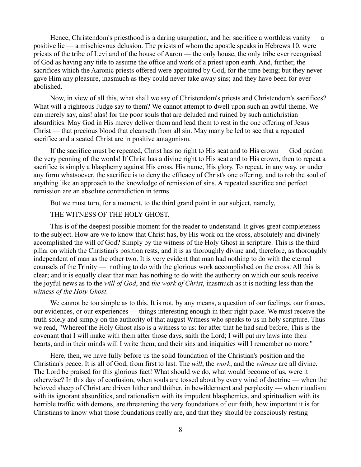Hence, Christendom's priesthood is a daring usurpation, and her sacrifice a worthless vanity — a positive lie — a mischievous delusion. The priests of whom the apostle speaks in Hebrews 10. were priests of the tribe of Levi and of the house of Aaron — the only house, the only tribe ever recognised of God as having any title to assume the office and work of a priest upon earth. And, further, the sacrifices which the Aaronic priests offered were appointed by God, for the time being; but they never gave Him any pleasure, inasmuch as they could never take away sins; and they have been for ever abolished.

Now, in view of all this, what shall we say of Christendom's priests and Christendom's sacrifices? What will a righteous Judge say to them? We cannot attempt to dwell upon such an awful theme. We can merely say, alas! alas! for the poor souls that are deluded and ruined by such antichristian absurdities. May God in His mercy deliver them and lead them to rest in the one offering of Jesus Christ — that precious blood that cleanseth from all sin. May many be led to see that a repeated sacrifice and a seated Christ are in positive antagonism.

If the sacrifice must be repeated, Christ has no right to His seat and to His crown — God pardon the very penning of the words! If Christ has a divine right to His seat and to His crown, then to repeat a sacrifice is simply a blasphemy against His cross, His name, His glory. To repeat, in any way, or under any form whatsoever, the sacrifice is to deny the efficacy of Christ's one offering, and to rob the soul of anything like an approach to the knowledge of remission of sins. A repeated sacrifice and perfect remission are an absolute contradiction in terms.

But we must turn, for a moment, to the third grand point in our subject, namely,

# THE WITNESS OF THE HOLY GHOST.

This is of the deepest possible moment for the reader to understand. It gives great completeness to the subject. How are we to know that Christ has, by His work on the cross, absolutely and divinely accomplished the will of God? Simply by the witness of the Holy Ghost in scripture. This is the third pillar on which the Christian's position rests, and it is as thoroughly divine and, therefore, as thoroughly independent of man as the other two. It is very evident that man had nothing to do with the eternal counsels of the Trinity — nothing to do with the glorious work accomplished on the cross. All this is clear; and it is equally clear that man has nothing to do with the authority on which our souls receive the joyful news as to the *will of God*, and *the work of Christ*, inasmuch as it is nothing less than the *witness of the Holy Ghost*.

We cannot be too simple as to this. It is not, by any means, a question of our feelings, our frames, our evidences, or our experiences — things interesting enough in their right place. We must receive the truth solely and simply on the authority of that august Witness who speaks to us in holy scripture. Thus we read, "Whereof the Holy Ghost also is a witness to us: for after that he had said before, This is the covenant that I will make with them after those days, saith the Lord; I will put my laws into their hearts, and in their minds will I write them, and their sins and iniquities will I remember no more."

Here, then, we have fully before us the solid foundation of the Christian's position and the Christian's peace. It is all of God, from first to last. The *will*, the *work*, and the *witness* are all divine. The Lord be praised for this glorious fact! What should we do, what would become of us, were it otherwise? In this day of confusion, when souls are tossed about by every wind of doctrine — when the beloved sheep of Christ are driven hither and thither, in bewilderment and perplexity — when ritualism with its ignorant absurdities, and rationalism with its impudent blasphemies, and spiritualism with its horrible traffic with demons, are threatening the very foundations of our faith, how important it is for Christians to know what those foundations really are, and that they should be consciously resting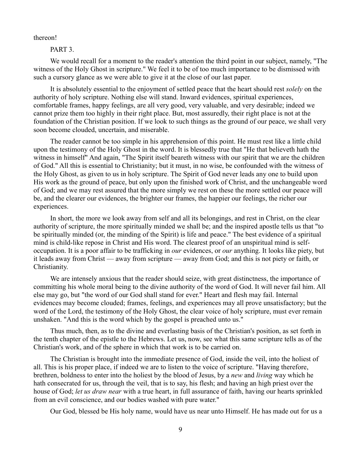thereon!

PART<sub>3</sub>.

We would recall for a moment to the reader's attention the third point in our subject, namely, "The witness of the Holy Ghost in scripture." We feel it to be of too much importance to be dismissed with such a cursory glance as we were able to give it at the close of our last paper.

It is absolutely essential to the enjoyment of settled peace that the heart should rest *solely* on the authority of holy scripture. Nothing else will stand. Inward evidences, spiritual experiences, comfortable frames, happy feelings, are all very good, very valuable, and very desirable; indeed we cannot prize them too highly in their right place. But, most assuredly, their right place is not at the foundation of the Christian position. If we look to such things as the ground of our peace, we shall very soon become clouded, uncertain, and miserable.

The reader cannot be too simple in his apprehension of this point. He must rest like a little child upon the testimony of the Holy Ghost in the word. It is blessedly true that "He that believeth hath the witness in himself" And again, "The Spirit itself beareth witness with our spirit that we are the children of God." All this is essential to Christianity; but it must, in no wise, be confounded with the witness of the Holy Ghost, as given to us in holy scripture. The Spirit of God never leads any one to build upon His work as the ground of peace, but only upon the finished work of Christ, and the unchangeable word of God; and we may rest assured that the more simply we rest on these the more settled our peace will be, and the clearer our evidences, the brighter our frames, the happier our feelings, the richer our experiences.

In short, the more we look away from self and all its belongings, and rest in Christ, on the clear authority of scripture, the more spiritually minded we shall be; and the inspired apostle tells us that "to be spiritually minded (or, the minding of the Spirit) is life and peace." The best evidence of a spiritual mind is child-like repose in Christ and His word. The clearest proof of an unspiritual mind is selfoccupation. It is a poor affair to be trafficking in *our* evidences, or *our* anything. It looks like piety, but it leads away from Christ — away from scripture — away from God; and this is not piety or faith, or Christianity.

We are intensely anxious that the reader should seize, with great distinctness, the importance of committing his whole moral being to the divine authority of the word of God. It will never fail him. All else may go, but "the word of our God shall stand for ever." Heart and flesh may fail. Internal evidences may become clouded; frames, feelings, and experiences may all prove unsatisfactory; but the word of the Lord, the testimony of the Holy Ghost, the clear voice of holy scripture, must ever remain unshaken. "And this is the word which by the gospel is preached unto us."

Thus much, then, as to the divine and everlasting basis of the Christian's position, as set forth in the tenth chapter of the epistle to the Hebrews. Let us, now, see what this same scripture tells as of the Christian's work, and of the sphere in which that work is to be carried on.

The Christian is brought into the immediate presence of God, inside the veil, into the holiest of all. This is his proper place, if indeed we are to listen to the voice of scripture. "Having therefore, brethren, boldness to enter into the holiest by the blood of Jesus, by a *new* and *living* way which he hath consecrated for us, through the veil, that is to say, his flesh; and having an high priest over the house of God; *let us draw near* with a true heart, in full assurance of faith, having our hearts sprinkled from an evil conscience, and our bodies washed with pure water."

Our God, blessed be His holy name, would have us near unto Himself. He has made out for us a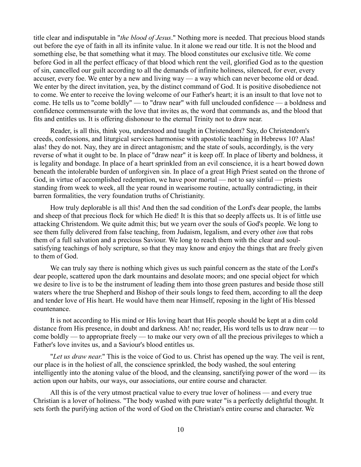title clear and indisputable in "*the blood of Jesus*." Nothing more is needed. That precious blood stands out before the eye of faith in all its infinite value. In it alone we read our title. It is not the blood and something else, be that something what it may. The blood constitutes our exclusive title. We come before God in all the perfect efficacy of that blood which rent the veil, glorified God as to the question of sin, cancelled our guilt according to all the demands of infinite holiness, silenced, for ever, every accuser, every foe. We enter by a new and living way — a way which can never become old or dead. We enter by the direct invitation, yea, by the distinct command of God. It is positive disobedience not to come. We enter to receive the loving welcome of our Father's heart; it is an insult to that love not to come. He tells us to "come boldly" — to "draw near" with full unclouded confidence — a boldness and confidence commensurate with the love that invites as, the word that commands as, and the blood that fits and entitles us. It is offering dishonour to the eternal Trinity not to draw near.

Reader, is all this, think you, understood and taught in Christendom? Say, do Christendom's creeds, confessions, and liturgical services harmonise with apostolic teaching in Hebrews 10? Alas! alas! they do not. Nay, they are in direct antagonism; and the state of souls, accordingly, is the very reverse of what it ought to be. In place of "draw near" it is keep off. In place of liberty and boldness, it is legality and bondage. In place of a heart sprinkled from an evil conscience, it is a heart bowed down beneath the intolerable burden of unforgiven sin. In place of a great High Priest seated on the throne of God, in virtue of accomplished redemption, we have poor mortal — not to say sinful — priests standing from week to week, all the year round in wearisome routine, actually contradicting, in their barren formalities, the very foundation truths of Christianity.

How truly deplorable is all this! And then the sad condition of the Lord's dear people, the lambs and sheep of that precious flock for which He died! It is this that so deeply affects us. It is of little use attacking Christendom. We quite admit this; but we yearn over the souls of God's people. We long to see them fully delivered from false teaching, from Judaism, legalism, and every other *ism* that robs them of a full salvation and a precious Saviour. We long to reach them with the clear and soulsatisfying teachings of holy scripture, so that they may know and enjoy the things that are freely given to them of God.

We can truly say there is nothing which gives us such painful concern as the state of the Lord's dear people, scattered upon the dark mountains and desolate moors; and one special object for which we desire to live is to be the instrument of leading them into those green pastures and beside those still waters where the true Shepherd and Bishop of their souls longs to feed them, according to all the deep and tender love of His heart. He would have them near Himself, reposing in the light of His blessed countenance.

It is not according to His mind or His loving heart that His people should be kept at a dim cold distance from His presence, in doubt and darkness. Ah! no; reader, His word tells us to draw near — to come boldly — to appropriate freely — to make our very own of all the precious privileges to which a Father's love invites us, and a Saviour's blood entitles us.

"*Let us draw near*." This is the voice of God to us. Christ has opened up the way. The veil is rent, our place is in the holiest of all, the conscience sprinkled, the body washed, the soul entering intelligently into the atoning value of the blood, and the cleansing, sanctifying power of the word — its action upon our habits, our ways, our associations, our entire course and character.

All this is of the very utmost practical value to every true lover of holiness — and every true Christian is a lover of holiness. "The body washed with pure water "is a perfectly delightful thought. It sets forth the purifying action of the word of God on the Christian's entire course and character. We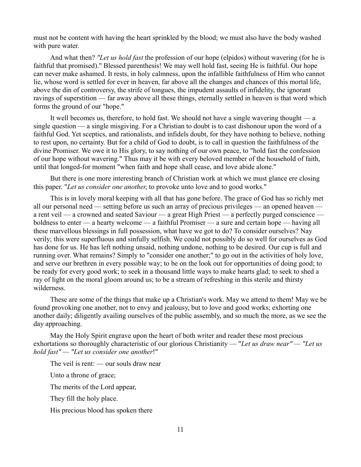must not be content with having the heart sprinkled by the blood; we must also have the body washed with pure water.

And what then? *"Let us hold fast* the profession of our hope (elpidos) without wavering (for he is faithful that promised)." Blessed parenthesis! We may well hold fast, seeing He is faithful. Our hope can never make ashamed. It rests, in holy calmness, upon the infallible faithfulness of Him who cannot lie, whose word is settled for ever in heaven, far above all the changes and chances of this mortal life, above the din of controversy, the strife of tongues, the impudent assaults of infidelity, the ignorant ravings of superstition — far away above all these things, eternally settled in heaven is that word which forms the ground of our "hope."

It well becomes us, therefore, to hold fast. We should not have a single wavering thought — a single question — a single misgiving. For a Christian to doubt is to cast dishonour upon the word of a faithful God. Yet sceptics, and rationalists, and infidels doubt, for they have nothing to believe, nothing to rest upon, no certainty. But for a child of God to doubt, is to call in question the faithfulness of the divine Promiser. We owe it to His glory, to say nothing of our own peace, to "hold fast the confession of our hope without wavering." Thus may it be with every beloved member of the household of faith, until that longed-for moment "when faith and hope shall cease, and love abide alone."

But there is one more interesting branch of Christian work at which we must glance ere closing this paper. "*Let us consider one another*, to provoke unto love and to good works."

This is in lovely moral keeping with all that has gone before. The grace of God has so richly met all our personal need — setting before us such an array of precious privileges — an opened heaven a rent veil — a crowned and seated Saviour — a great High Priest — a perfectly purged conscience boldness to enter — a hearty welcome — a faithful Promiser — a sure and certain hope — having all these marvellous blessings in full possession, what have we got to do? To consider ourselves? Nay verily; this were superfluous and sinfully selfish. We could not possibly do so well for ourselves as God has done for us. He has left nothing unsaid, nothing undone, nothing to be desired. Our cup is full and running over. What remains? Simply to "consider one another;" to go out in the activities of holy love, and serve our brethren in every possible way; to be on the look out for opportunities of doing good; to be ready for every good work; to seek in a thousand little ways to make hearts glad; to seek to shed a ray of light on the moral gloom around us; to be a stream of refreshing in this sterile and thirsty wilderness.

These are some of the things that make up a Christian's work. May we attend to them! May we be found provoking one another, not to envy and jealousy, but to love and good works; exhorting one another daily; diligently availing ourselves of the public assembly, and so much the more, as we see the day approaching.

May the Holy Spirit engrave upon the heart of both writer and reader these most precious exhortations so thoroughly characteristic of our glorious Christianity — "*Let us draw near" — "Let us hold fast" — "Let us consider one another*!"

The veil is rent: — our souls draw near

Unto a throne of grace;

The merits of the Lord appear,

They fill the holy place.

His precious blood has spoken there